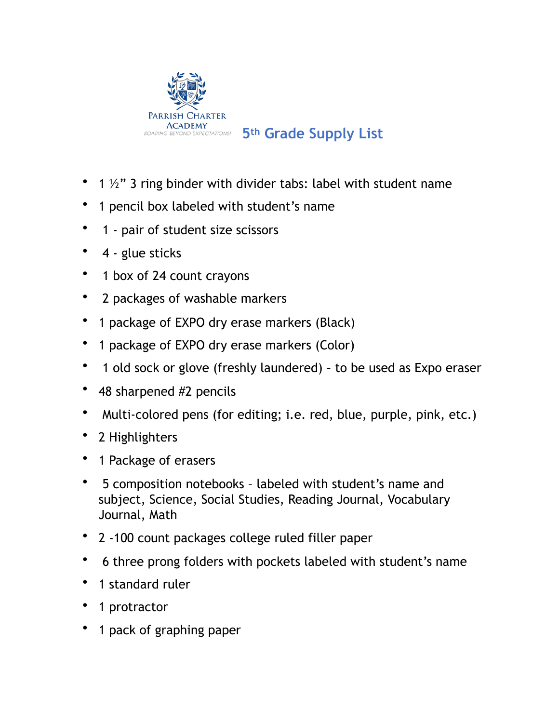

## SOARING BEYOND EXPECTATIONS! 5<sup>th</sup> Grade Supply List

- 1  $\frac{1}{2}$  3 ring binder with divider tabs: label with student name
- 1 pencil box labeled with student's name
- 1 pair of student size scissors
- 4 glue sticks
- 1 box of 24 count crayons
- 2 packages of washable markers
- 1 package of EXPO dry erase markers (Black)
- 1 package of EXPO dry erase markers (Color)
- 1 old sock or glove (freshly laundered) to be used as Expo eraser
- 48 sharpened #2 pencils
- Multi-colored pens (for editing; i.e. red, blue, purple, pink, etc.)
- 2 Highlighters
- 1 Package of erasers
- 5 composition notebooks labeled with student's name and subject, Science, Social Studies, Reading Journal, Vocabulary Journal, Math
- 2 -100 count packages college ruled filler paper
- 6 three prong folders with pockets labeled with student's name
- 1 standard ruler
- 1 protractor
- 1 pack of graphing paper